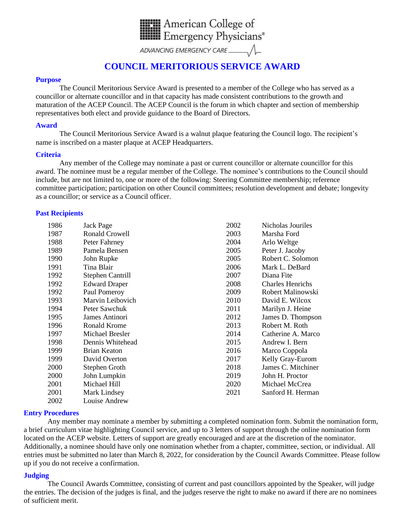

## **COUNCIL MERITORIOUS SERVICE AWARD**

#### **Purpose**

The Council Meritorious Service Award is presented to a member of the College who has served as a councillor or alternate councillor and in that capacity has made consistent contributions to the growth and maturation of the ACEP Council. The ACEP Council is the forum in which chapter and section of membership representatives both elect and provide guidance to the Board of Directors.

#### **Award**

The Council Meritorious Service Award is a walnut plaque featuring the Council logo. The recipient's name is inscribed on a master plaque at ACEP Headquarters.

#### **Criteria**

Any member of the College may nominate a past or current councillor or alternate councillor for this award. The nominee must be a regular member of the College. The nominee's contributions to the Council should include, but are not limited to, one or more of the following: Steering Committee membership; reference committee participation; participation on other Council committees; resolution development and debate; longevity as a councillor; or service as a Council officer.

#### **Past Recipients**

| 1986 | Jack Page            | 2002 | Nicholas Jouriles       |
|------|----------------------|------|-------------------------|
| 1987 | Ronald Crowell       | 2003 | Marsha Ford             |
| 1988 | Peter Fahrney        | 2004 | Arlo Weltge             |
| 1989 | Pamela Bensen        | 2005 | Peter J. Jacoby         |
| 1990 | John Rupke           | 2005 | Robert C. Solomon       |
| 1991 | Tina Blair           | 2006 | Mark L. DeBard          |
| 1992 | Stephen Cantrill     | 2007 | Diana Fite              |
| 1992 | <b>Edward Draper</b> | 2008 | <b>Charles Henrichs</b> |
| 1992 | Paul Pomeroy         | 2009 | Robert Malinowski       |
| 1993 | Marvin Leibovich     | 2010 | David E. Wilcox         |
| 1994 | Peter Sawchuk        | 2011 | Marilyn J. Heine        |
| 1995 | James Antinori       | 2012 | James D. Thompson       |
| 1996 | <b>Ronald Krome</b>  | 2013 | Robert M. Roth          |
| 1997 | Michael Bresler      | 2014 | Catherine A. Marco      |
| 1998 | Dennis Whitehead     | 2015 | Andrew I. Bern          |
| 1999 | Brian Keaton         | 2016 | Marco Coppola           |
| 1999 | David Overton        | 2017 | Kelly Gray-Eurom        |
| 2000 | Stephen Groth        | 2018 | James C. Mitchiner      |
| 2000 | John Lumpkin         | 2019 | John H. Proctor         |
| 2001 | Michael Hill         | 2020 | Michael McCrea          |
| 2001 | Mark Lindsey         | 2021 | Sanford H. Herman       |
| 2002 | Louise Andrew        |      |                         |

#### **Entry Procedures**

Any member may nominate a member by submitting a completed nomination form. Submit the nomination form, a brief curriculum vitae highlighting Council service, and up to 3 letters of support through the online nomination form located on the ACEP website. Letters of support are greatly encouraged and are at the discretion of the nominator. Additionally, a nominee should have only one nomination whether from a chapter, committee, section, or individual. All entries must be submitted no later than March 8, 2022, for consideration by the Council Awards Committee. Please follow up if you do not receive a confirmation.

#### **Judging**

The Council Awards Committee, consisting of current and past councillors appointed by the Speaker, will judge the entries. The decision of the judges is final, and the judges reserve the right to make no award if there are no nominees of sufficient merit.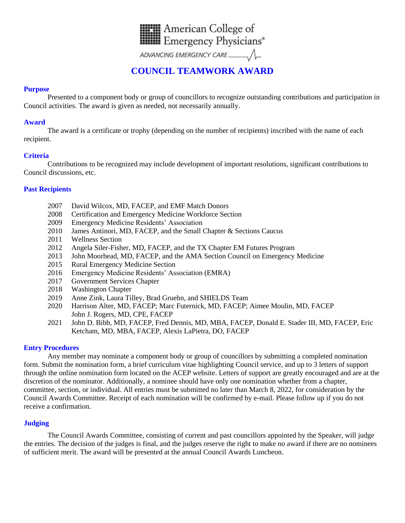

# **COUNCIL TEAMWORK AWARD**

### **Purpose**

Presented to a component body or group of councillors to recognize outstanding contributions and participation in Council activities. The award is given as needed, not necessarily annually.

#### **Award**

The award is a certificate or trophy (depending on the number of recipients) inscribed with the name of each recipient.

### **Criteria**

Contributions to be recognized may include development of important resolutions, significant contributions to Council discussions, etc.

### **Past Recipients**

- 2007 David Wilcox, MD, FACEP, and EMF Match Donors
- 2008 Certification and Emergency Medicine Workforce Section
- 2009 Emergency Medicine Residents' Association
- 2010 James Antinori, MD, FACEP, and the Small Chapter & Sections Caucus
- 2011 Wellness Section
- 2012 Angela Siler-Fisher, MD, FACEP, and the TX Chapter EM Futures Program
- 2013 John Moorhead, MD, FACEP, and the AMA Section Council on Emergency Medicine
- 2015 Rural Emergency Medicine Section
- 2016 Emergency Medicine Residents' Association (EMRA)
- 2017 Government Services Chapter
- 2018 Washington Chapter
- 2019 Anne Zink, Laura Tilley, Brad Gruehn, and SHIELDS Team
- 2020 Harrison Alter, MD, FACEP; Marc Futernick, MD, FACEP; Aimee Moulin, MD, FACEP John J. Rogers, MD, CPE, FACEP
- 2021 John D. Bibb, MD, FACEP, Fred Dennis, MD, MBA, FACEP, Donald E. Stader III, MD, FACEP, Eric Ketcham, MD, MBA, FACEP, Alexis LaPietra, DO, FACEP

#### **Entry Procedures**

Any member may nominate a component body or group of councillors by submitting a completed nomination form. Submit the nomination form, a brief curriculum vitae highlighting Council service, and up to 3 letters of support through the online nomination form located on the ACEP website. Letters of support are greatly encouraged and are at the discretion of the nominator. Additionally, a nominee should have only one nomination whether from a chapter, committee, section, or individual. All entries must be submitted no later than March 8, 2022, for consideration by the Council Awards Committee. Receipt of each nomination will be confirmed by e-mail. Please follow up if you do not receive a confirmation.

## **Judging**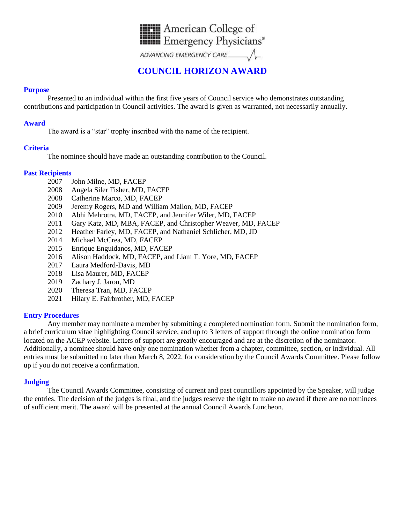

## **COUNCIL HORIZON AWARD**

#### **Purpose**

Presented to an individual within the first five years of Council service who demonstrates outstanding contributions and participation in Council activities. The award is given as warranted, not necessarily annually.

#### **Award**

The award is a "star" trophy inscribed with the name of the recipient.

### **Criteria**

The nominee should have made an outstanding contribution to the Council.

### **Past Recipients**

- 2007 John Milne, MD, FACEP
- 2008 Angela Siler Fisher, MD, FACEP
- 2008 Catherine Marco, MD, FACEP
- 2009 Jeremy Rogers, MD and William Mallon, MD, FACEP
- 2010 Abhi Mehrotra, MD, FACEP, and Jennifer Wiler, MD, FACEP
- 2011 Gary Katz, MD, MBA, FACEP, and Christopher Weaver, MD, FACEP
- 2012 Heather Farley, MD, FACEP, and Nathaniel Schlicher, MD, JD
- 2014 Michael McCrea, MD, FACEP
- 2015 Enrique Enguidanos, MD, FACEP
- 2016 Alison Haddock, MD, FACEP, and Liam T. Yore, MD, FACEP
- 2017 Laura Medford-Davis, MD
- 2018 Lisa Maurer, MD, FACEP
- 2019 Zachary J. Jarou, MD
- 2020 Theresa Tran, MD, FACEP
- 2021 Hilary E. Fairbrother, MD, FACEP

#### **Entry Procedures**

Any member may nominate a member by submitting a completed nomination form. Submit the nomination form, a brief curriculum vitae highlighting Council service, and up to 3 letters of support through the online nomination form located on the ACEP website. Letters of support are greatly encouraged and are at the discretion of the nominator. Additionally, a nominee should have only one nomination whether from a chapter, committee, section, or individual. All entries must be submitted no later than March 8, 2022, for consideration by the Council Awards Committee. Please follow up if you do not receive a confirmation.

## **Judging**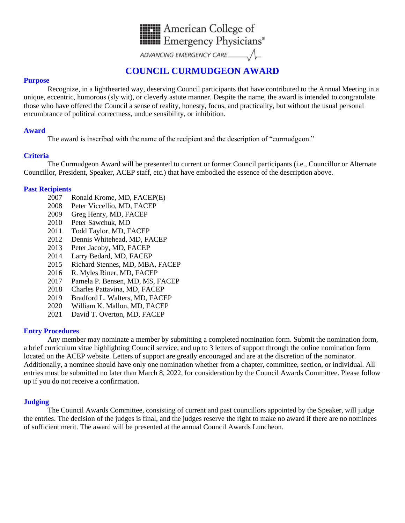

# **COUNCIL CURMUDGEON AWARD**

#### **Purpose**

Recognize, in a lighthearted way, deserving Council participants that have contributed to the Annual Meeting in a unique, eccentric, humorous (sly wit), or cleverly astute manner. Despite the name, the award is intended to congratulate those who have offered the Council a sense of reality, honesty, focus, and practicality, but without the usual personal encumbrance of political correctness, undue sensibility, or inhibition.

### **Award**

The award is inscribed with the name of the recipient and the description of "curmudgeon."

### **Criteria**

The Curmudgeon Award will be presented to current or former Council participants (i.e., Councillor or Alternate Councillor, President, Speaker, ACEP staff, etc.) that have embodied the essence of the description above.

### **Past Recipients**

- 2007 Ronald Krome, MD, FACEP(E)
- 2008 Peter Viccellio, MD, FACEP
- 2009 Greg Henry, MD, FACEP
- 2010 Peter Sawchuk, MD
- 2011 Todd Taylor, MD, FACEP
- 2012 Dennis Whitehead, MD, FACEP
- 2013 Peter Jacoby, MD, FACEP
- 2014 Larry Bedard, MD, FACEP
- 2015 Richard Stennes, MD, MBA, FACEP
- 2016 R. Myles Riner, MD, FACEP
- 2017 Pamela P. Bensen, MD, MS, FACEP
- 2018 Charles Pattavina, MD, FACEP
- 2019 Bradford L. Walters, MD, FACEP
- 2020 William K. Mallon, MD, FACEP
- 2021 David T. Overton, MD, FACEP

#### **Entry Procedures**

Any member may nominate a member by submitting a completed nomination form. Submit the nomination form, a brief curriculum vitae highlighting Council service, and up to 3 letters of support through the online nomination form located on the ACEP website. Letters of support are greatly encouraged and are at the discretion of the nominator. Additionally, a nominee should have only one nomination whether from a chapter, committee, section, or individual. All entries must be submitted no later than March 8, 2022, for consideration by the Council Awards Committee. Please follow up if you do not receive a confirmation.

#### **Judging**